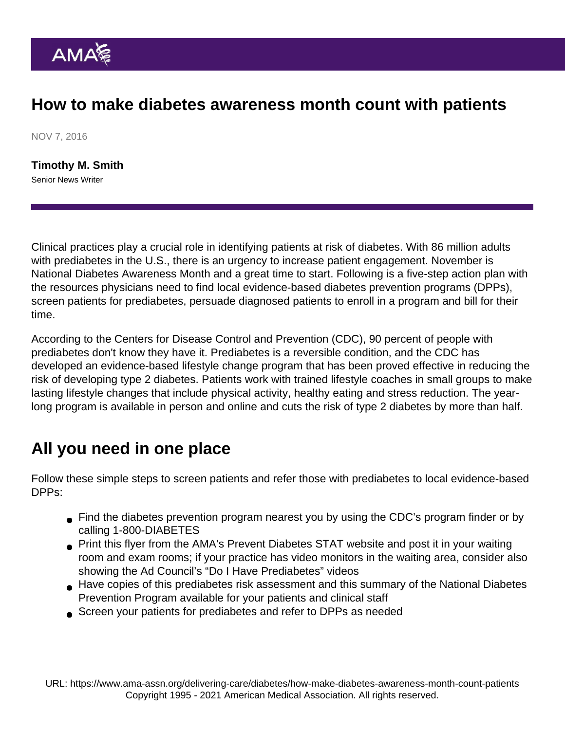## How to make diabetes awareness month count with patients

NOV 7, 2016

[Timothy M. Smith](https://www.ama-assn.org/news-leadership-viewpoints/authors-news-leadership-viewpoints/timothy-m-smith) Senior News Writer

Clinical practices play a crucial role in identifying patients at risk of diabetes. With 86 million adults with prediabetes in the U.S., there is an urgency to increase patient engagement. November is National Diabetes Awareness Month and a great time to start. Following is a five-step action plan with the resources physicians need to find local evidence-based diabetes prevention programs (DPPs), screen patients for prediabetes, persuade diagnosed patients to enroll in a program and bill for their time.

According to the Centers for Disease Control and Prevention (CDC), 90 percent of people with prediabetes don't know they have it. Prediabetes is a reversible condition, and the CDC has developed an evidence-based lifestyle change program that has been proved effective in reducing the risk of developing type 2 diabetes. Patients work with trained lifestyle coaches in small groups to make lasting lifestyle changes that include physical activity, healthy eating and stress reduction. The yearlong program is available in person and online and cuts the risk of type 2 diabetes by more than half.

## All you need in one place

Follow these simple steps to screen patients and refer those with prediabetes to local evidence-based DPPs:

- Find the diabetes prevention program nearest you by using the [CDC's program finder](https://nccd.cdc.gov/DDT_DPRP/Programs.aspx) or by calling 1-800-DIABETES
- [Print this flyer](https://assets.ama-assn.org/sub/prevent-diabetes-stat/downloads/promoting-prediabetes-awareness.pdf) from the AMA's Prevent Diabetes STAT website and post it in your waiting room and exam rooms; if your practice has video monitors in the waiting area, consider also showing the Ad Council's ["Do I Have Prediabetes" videos](https://www.youtube.com/channel/UCFG5XgDdJHkz2aW7UJ2jn7A)
- Have copies of this [prediabetes risk assessment](https://assets.ama-assn.org/sub/prevent-diabetes-stat/downloads/diabetes-risk-assessment.pdf) and this [summary of the National Diabetes](https://assets.ama-assn.org/sub/prevent-diabetes-stat/downloads/so-you-have-prediabetes-now-what.pdf) [Prevention Program](https://assets.ama-assn.org/sub/prevent-diabetes-stat/downloads/so-you-have-prediabetes-now-what.pdf) available for your patients and clinical staff
- [Screen your patients](https://assets.ama-assn.org/sub/prevent-diabetes-stat/downloads/point-of-care-prediabetes-identification-algorithm.pdf) for prediabetes and refer to DPPs as needed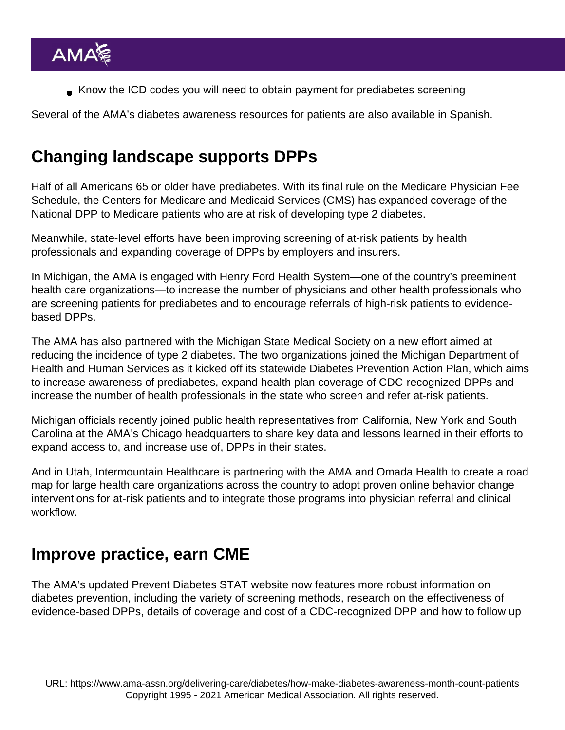[Know the ICD codes](https://assets.ama-assn.org/sub/prevent-diabetes-stat/downloads/commonly-used-cpt-icd-codes.pdf) you will need to obtain payment for prediabetes screening

Several of the AMA's diabetes awareness resources for patients are [also available in Spanish.](https://assets.ama-assn.org/sub/prevent-diabetes-stat/toolkit.html)

# Changing landscape supports DPPs

Half of all Americans 65 or older have prediabetes. With its final rule on the Medicare Physician Fee Schedule, the Centers for Medicare and Medicaid Services (CMS) has [expanded coverage](https://www.ama-assn.org/practice-management/medicare/final-medicare-fee-schedule-expands-dpp-boosts-care-coordination) of the National DPP to Medicare patients who are at risk of developing type 2 diabetes.

Meanwhile, state-level efforts have been improving screening of at-risk patients by health professionals and expanding coverage of DPPs by employers and insurers.

In Michigan, the AMA is engaged with Henry Ford Health System—one of the country's preeminent health care organizations—to increase the number of physicians and other health professionals who are screening patients for prediabetes and to encourage referrals of high-risk patients to evidencebased DPPs.

The AMA has also partnered with the Michigan State Medical Society on a [new effort](https://assets.ama-assn.org/sub/prevent-diabetes-stat/MI/) aimed at reducing the incidence of type 2 diabetes. The two organizations joined the Michigan Department of Health and Human Services as it kicked off its statewide [Diabetes Prevention Action Plan,](http://www.michigan.gov/documents/mdhhs/Michigan_Diabetes_Prevention_Plan-2016-2018_533605_7.pdf) which aims to increase awareness of prediabetes, expand health plan coverage of CDC-recognized DPPs and increase the number of health professionals in the state who screen and refer at-risk patients.

Michigan officials recently joined public health representatives from California, New York and South Carolina at the AMA's Chicago headquarters to share key data and lessons learned in their efforts to expand access to, and increase use of, DPPs in their states.

And in Utah, Intermountain Healthcare is partnering with the AMA and Omada Health to create a road map for large health care organizations across the country to adopt proven online behavior change interventions for at-risk patients and to integrate those programs into physician referral and clinical workflow.

## Improve practice, earn CME

The AMA's updated Prevent Diabetes STAT website now features [more robust information on](https://assets.ama-assn.org/sub/prevent-diabetes-stat/for-health-care-professionals.html) [diabetes prevention,](https://assets.ama-assn.org/sub/prevent-diabetes-stat/for-health-care-professionals.html) including the variety of screening methods, research on the effectiveness of evidence-based DPPs, details of coverage and cost of a CDC-recognized DPP and how to follow up